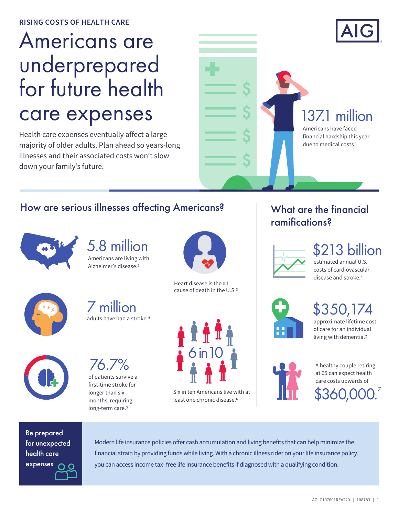# Americans are underprepared for future health care expenses

Health care expenses eventually affect a large majority of older adults. Plan ahead so years-long illnesses and their associated costs won't slow down your family's future.



### How are serious illnesses affecting Americans?



5.8 million Americans are living with Alzheimer's disease.<sup>2</sup>

adults have had a stroke.4

7 million

76.7%

of patients survive a first-time stroke for longer than six months, requiring long-term care.<sup>5</sup>



Heart disease is the #1 cause of death in the U.S.3



Six in ten Americans live with at least one chronic disease.6

# What are the financial ramifications?



13 billion

estimated annual U.S. costs of cardiovascular disease and stroke.4





of care for an individual living with dementia.2



\$360,000. 7 A healthy couple retiring at 65 can expect health care costs upwards of

Be prepared for unexpected health care expenses

Modern life insurance policies offer cash accumulation and living benefits that can help minimize the financial strain by providing funds while living. With a chronic illness rider on your life insurance policy, you can access income tax–free life insurance benefits if diagnosed with a qualifying condition.